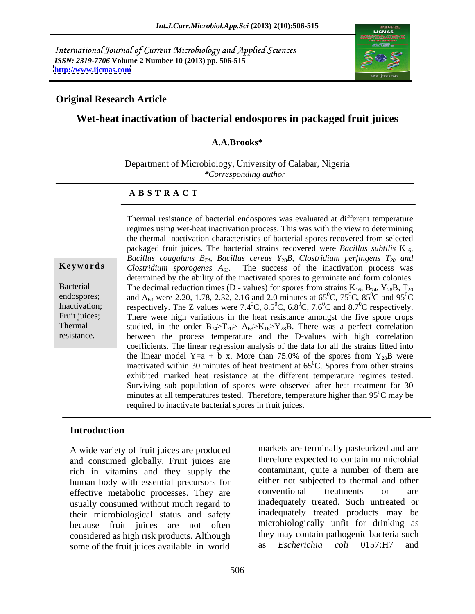International Journal of Current Microbiology and Applied Sciences *ISSN: 2319-7706* **Volume 2 Number 10 (2013) pp. 506-515 <http://www.ijcmas.com>**



## **Original Research Article**

# **Wet-heat inactivation of bacterial endospores in packaged fruit juices**

### **A.A.Brooks\***

Department of Microbiology, University of Calabar, Nigeria *\*Corresponding author* 

### **A B S T R A C T**

**Keywords** Clostridium *sporogenes*  $A_{63}$ . The success of the inactivation process was Bacterial The decimal reduction times (D - values) for spores from strains  $K_{16}$ ,  $B_{74}$ ,  $Y_{28}B$ ,  $T_{20}$ endospores; and A<sub>63</sub> were 2.20, 1.78, 2.32, 2.16 and 2.0 minutes at  $65^{\circ}$ C,  $75^{\circ}$ C,  $85^{\circ}$ C and  $95^{\circ}$ C Inactivation; respectively. The Z values were  $7.4^{\circ}$ C,  $8.5^{\circ}$ C,  $6.8^{\circ}$ C,  $7.6^{\circ}$ C and  $8.7^{\circ}$ C respectively. Fruit juices; There were high variations in the heat resistance amongst the five spore crops Thermal studied, in the order  $B_{74} > T_{20} > A_{63} > K_{16} > Y_{28}B$ . There was a perfect correlation resistance. between the process temperature and the D-values with high correlation Thermal resistance of bacterial endospores was evaluated at different temperature regimes using wet-heat inactivation process. This was with the view to determining the thermal inactivation characteristics of bacterial spores recovered from selected packaged fruit juices. The bacterial strains recovered were *Bacillus subtilis*  $K_{16}$ , *Bacillus coagulans*  $B_{74}$ *, Bacillus cereus*  $Y_{28}B$ *, Clostridium perfingens*  $T_{20}$  *and* determined by the ability of the inactivated spores to germinate and form colonies.  ${}^{0}C$ , 85 ${}^{0}C$  and 95 ${}^{0}C$  ${}^{0}C$  and  $95{}^{0}C$  ${}^{0}C$  ${}^{0}C$  and 8.7<sup>0</sup>C respectively.  ${}^{0}C$  respectively. coefficients. The linear regression analysis of the data for all the strains fitted into the linear model Y=a + b x. More than 75.0% of the spores from  $Y_{28}B$  were inactivated within 30 minutes of heat treatment at  $65^{\circ}$ C. Spores from other strains  ${}^{0}C$ . Spores from other strains exhibited marked heat resistance at the different temperature regimes tested. Surviving sub population of spores were observed after heat treatment for 30 minutes at all temperatures tested. Therefore, temperature higher than  $95^{\circ}$ C may be required to inactivate bacterial spores in fruit juices.

### **Introduction**

A wide variety of fruit juices are produced and consumed globally. Fruit juices are rich in vitamins and they supply the human body with essential precursors for either not subjected to thermal an<br>effective metabolic processes. They are conventional treatments or effective metabolic processes. They are conventional treatments or are usually consumed without much regard to their microbiological status and safety because fruit juices are not often considered as high risk products. Although they may contain pathogenic bacteria such<br>some of the fruit juices available in world as *Escherichia coli* 0157:H7 and some of the fruit juices available in world

markets are terminally pasteurized and are therefore expected to contain no microbial contaminant, quite a number of them are either not subjected to thermal and other conventional treatments or are inadequately treated. Such untreated or inadequately treated products may be microbiologically unfit for drinking as they may contain pathogenic bacteria such as *Escherichia coli* 0157:H7 and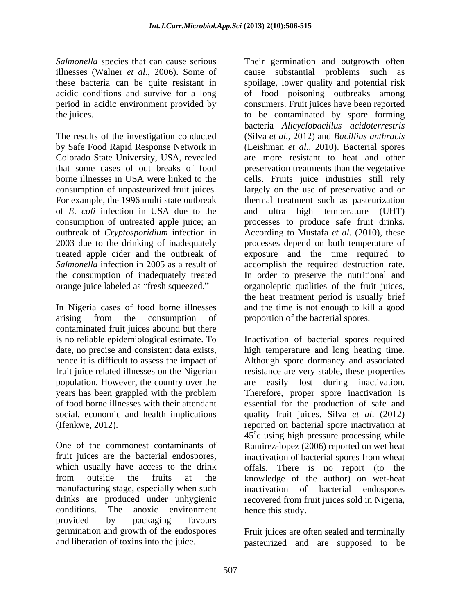The results of the investigation conducted by Safe Food Rapid Response Network in (Leishman *et al., 2010)*. Bacterial spores Colorado State University, USA, revealed are more resistant to heat and other that some cases of out breaks of food preservation treatments than the vegetative borne illnesses in USA were linked to the cells. Fruits juice industries still rely consumption of unpasteurized fruit juices. largely on the use of preservative and or For example, the 1996 multi state outbreak thermal treatment such as pasteurization of *E. coli* infection in USA due to the consumption of untreated apple juice; an processes to produce safe fruit drinks. outbreak of *Cryptosporidium* infection in 2003 due to the drinking of inadequately processes depend on both temperature of treated apple cider and the outbreak of exposure and the time required to Salmonella infection in 2005 as a result of accomplish the required destruction rate. the consumption of inadequately treated In order to preserve the nutritional and orange juice labeled as "fresh squeezed."

arising from the consumption of proportion of the bacterial spores. contaminated fruit juices abound but there

manufacturing stage, especially when such inactivation of bacterial endospores conditions. The anoxic environment hence this study. provided by packaging favours germination and growth of the endospores

Salmonella species that can cause serious Their germination and outgrowth often illnesses (Walner *et al*., 2006). Some of cause substantial problems such as these bacteria can be quite resistant in spoilage, lower quality and potential risk acidic conditions and survive for a long of food poisoning outbreaks among period in acidic environment provided by consumers. Fruit juices have been reported the juices. to be contaminated by spore forming In Nigeria cases of food borne illnesses and the time is not enough to kill a good bacteria *Alicyclobacillus acidoterrestris* (Silva *et al.,* 2012) and *Bacillius anthracis* and ultra high temperature (UHT) According to Mustafa *et al.* (2010), these organoleptic qualities of the fruit juices, the heat treatment period is usually brief proportion of the bacterial spores.

is no reliable epidemiological estimate. To Inactivation of bacterial spores required date, no precise and consistent data exists, high temperature and long heating time.<br>hence it is difficult to assess the impact of Although spore dormancy and associated fruit juice related illnesses on the Nigerian resistance are very stable, these properties population. However, the country over the are easily lost during inactivation. years has been grappled with the problem Therefore, proper spore inactivation is of food borne illnesses with their attendant essential for the production of safe and social, economic and health implications quality fruit juices. Silva *et al*. (2012) (Ifenkwe, 2012). reported on bacterial spore inactivation at One of the commonest contaminants of Ramirez-lopez (2006) reported on wet heat fruit juices are the bacterial endospores, inactivation of bacterial spores from wheat which usually have access to the drink offals. There is no report (to the from outside the fruits at the knowledge of the author) on wet-heat drinks are produced under unhygienic recovered from fruit juices sold in Nigeria, high temperature and long heating time. Although spore dormancy and associated  $45^{\circ}$ c using high pressure processing while inactivation of bacterial hence this study.

and liberation of toxins into the juice. pasteurized and are supposed to beFruit juices are often sealed and terminally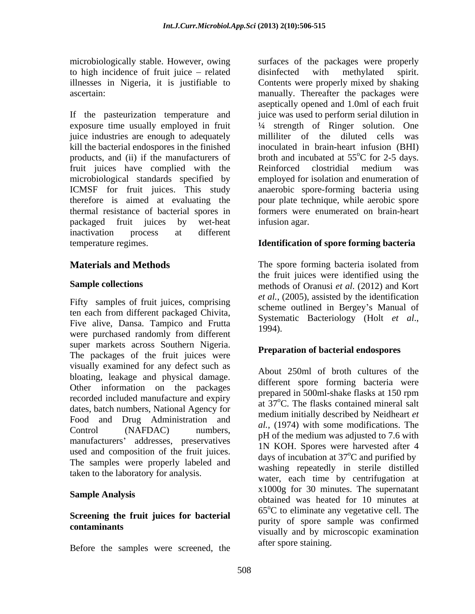to high incidence of fruit juice – related disinfected with methylated spirit.

If the pasteurization temperature and exposure time usually employed in fruit ¼ strength of Ringer solution. One juice industries are enough to adequately milliliter of the diluted cells was kill the bacterial endospores in the finished products, and (ii) if the manufacturers of fruit juices have complied with the Reinforced clostridial medium was microbiological standards specified by ICMSF for fruit juices. This study anaerobic spore-forming bacteria using therefore is aimed at evaluating the pour plate technique, while aerobic spore thermal resistance of bacterial spores in packaged fruit juices by wet-heat inactivation process at different temperature regimes. **Identification of spore forming bacteria**

Fifty samples of fruit juices, comprising ten each from different packaged Chivita,<br>Systematic Bacteriology (Holt et al., Five alive, Dansa. Tampico and Frutta 1994). were purchased randomly from different super markets across Southern Nigeria. The packages of the fruit juices were visually examined for any defect such as bloating, leakage and physical damage. Other information on the packages and the prepared in 500ml-shake flasks at 150 rpm recorded included manufacture and expiry dates, batch numbers, National Agency for Food and Drug Administration and Control (NAFDAC) numbers,  $\mu$ , (1974) with some modifications. The meanufacturers' eddresses presentatives  $\mu$  of the medium was adjusted to 7.6 with manufacturers' addresses, preservatives used and composition of the fruit juices. The samples were properly labeled and taken to the laboratory for analysis.

# **Screening the fruit juices for bacterial**

Before the samples were screened, the

microbiologically stable. However, owing surfaces of the packages were properly illnesses in Nigeria, it is justifiable to Contents were properly mixed by shaking ascertain: manually. Thereafter the packages were disinfected with methylated spirit. aseptically opened and 1.0ml of each fruit juice was used to perform serial dilution in milliliter of the diluted cells inoculated in brain-heart infusion (BHI) broth and incubated at  $55^{\circ}$ C for 2-5 days.  $^{\circ}$ C for 2-5 days. Reinforced clostridial medium was employed for isolation and enumeration of formers were enumerated on brain-heart infusion agar.

**Materials and Methods** The spore forming bacteria isolated from **Sample collections**  methods of Oranusi *et al*. (2012) and Kort the fruit juices were identified using the *et al.*, (2005), assisted by the identification scheme outlined in Bergey's Manual of Systematic Bacteriology (Holt *et al*., 1994).

## **Preparation of bacterial endospores**

**Sample Analysis**<br>
obtained was heated for 10 minutes at **contaminants** visually and by microscopic examination About 250ml of broth cultures of the different spore forming bacteria were prepared in 500ml-shake flasks at 150 rpm at 37<sup>o</sup>C. The flasks contained mineral salt medium initially described by Neidheart *et al.,* (1974) with some modifications. The 1N KOH. Spores were harvested after 4 days of incubation at  $37^{\circ}$ C and purified by washing repeatedly in sterile distilled water, each time by centrifugation at x1000g for 30 minutes. The supernatant  $65^{\circ}$ C to eliminate any vegetative cell. The purity of spore sample was confirmed after spore staining.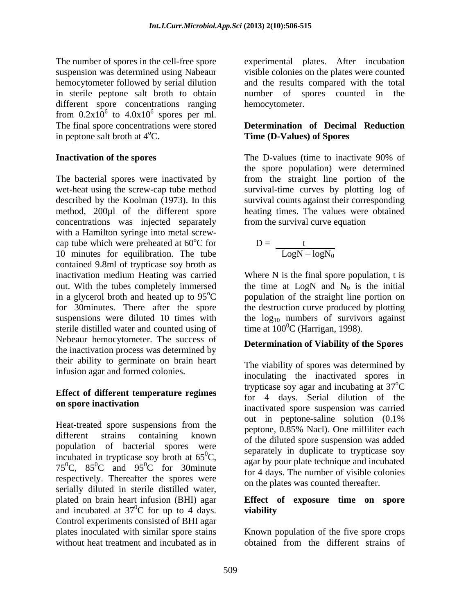The number of spores in the cell-free spore experimental plates. After incubation suspension was determined using Nabeaur visible colonies on the plates were counted hemocytometer followed by serial dilution and the results compared with the total in sterile peptone salt broth to obtain a number of spores counted in the different spore concentrations ranging from  $0.2 \times 10^6$  to  $4.0 \times 10^6$  spores per ml.  $^6$  sparse par m spores per ml. The final spore concentrations were stored **Determination of Decimal Reduction**

The bacterial spores were inactivated by from the straight line portion of the wet-heat using the screw-cap tube method survival-time curves by plotting log of described by the Koolman (1973). In this survival counts against their corresponding method, 200µl of the different spore heating times. The values were obtained concentrations was injected separately with a Hamilton syringe into metal screw cap tube which were preheated at  $60^{\circ}$ C for 10 minutes for equilibration. The tube contained 9.8ml of trypticase soy broth as sterile distilled water and counted using of Nebeaur hemocytometer. The success of the inactivation process was determined by their ability to germinate on brain heart infusion agar and formed colonies.

# **Effect of different temperature regimes**

population of bacterial spores were incubated in trypticase soy broth at  $65^{\circ}$ C, 75<sup>0</sup>C, 85<sup>0</sup>C and 95<sup>0</sup>C for 30minute respectively. Thereafter the spores were serially diluted in sterile distilled water, plated on brain heart infusion (BHI) agar **Effect of exposure time on spore**  and incubated at  $37^{\circ}$ C for up to 4 days. viability Control experiments consisted of BHI agar plates inoculated with similar spore stains Known population of the five spore crops without heat treatment and incubated as in betained from the different strains of

number of spores counted in hemocytometer.

# in peptone salt broth at 4<sup>o</sup>C. **Time (D-Values) of Spores**

**Inactivation of the spores** The D-values (time to inactivate 90% of The D-values (time to inactivate 90% of the spore population) were determined from the survival curve equation

$$
{}^{\circ}\text{C for} \qquad \qquad D = \frac{t}{\text{LogN} - \text{logN}_0}
$$

inactivation medium Heating was carried Where N is the final spore population, t is out. With the tubes completely immersed the time at  $LogN$  and  $N_0$  is the initial in a glycerol broth and heated up to  $95^{\circ}$ C population of the straight line portion on for 30minutes. There after the spore the destruction curve produced by plotting suspensions were diluted 10 times with the  $log_{10}$  numbers of survivors against time at  $100^{\circ}$ C (Harrigan, 1998).

## **Determination of Viability of the Spores**

on spore inactivation Heat-treated spore suspensions from the  $\frac{\text{out}}{\text{content}}$  in peptone-saline solution (0.1%) different strains containing known of the diluted spore suspension was added  ${}^{0}C$ , separately in duplicate to trypically separately again by pour plate technique and incubated  ${}^{0}C$  and  $95{}^{0}C$  for 30 minute  ${}^{0}C$  for 4 days. The number of visible colonies  ${}^{0}C$  for 30 minute and  ${}^{0}C$  for 30 minute  ${}^{0}C$  for 4 days. The number of visible colonies The viability of spores was determined by inoculating the inactivated spores in trypticase soy agar and incubating at 37 <sup>o</sup>C for 4 days. Serial dilution of the inactivated spore suspension was carried out in peptone-saline solution (0.1% peptone, 0.85% Nacl). One milliliter each separately in duplicate to trypticase soy for 4 days. The number of visible colonies on the plates was counted thereafter.

## ${}^{0}C$  for up to 4 days. viability **viability**

obtained from the different strains of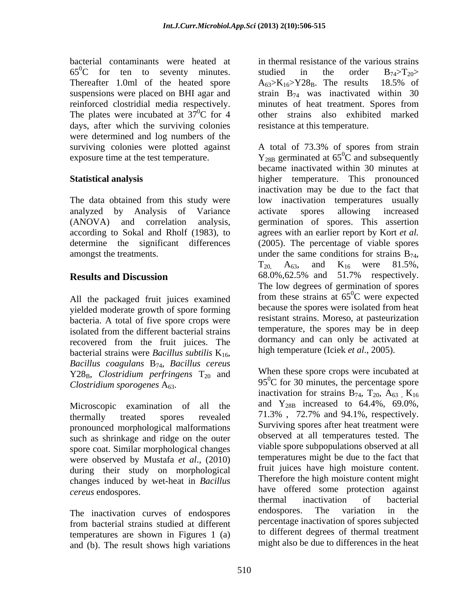65<sup>0</sup>C for ten to seventy minutes. studied in the order  $B_{74} > T_{20} >$ Thereafter 1.0ml of the heated spore  $A_{63} > K_{16} > Y28_B$ . The results 18.5% of reinforced clostridial media respectively. minutes of heat treatment. Spores from The plates were incubated at  $37^0C$  for 4 days, after which the surviving colonies were determined and log numbers of the surviving colonies were plotted against A total of 73.3% of spores from strain

The data obtained from this study were analyzed by Analysis of Variance

All the packaged fruit juices examined yielded moderate growth of spore forming bacteria. A total of five spore crops were recovered from the fruit juices. The bacterial strains were *Bacillus subtilis* K<sub>16</sub>, *Bacillus coagulans* B74, *Bacillus cereus*  $Y28_B$ , *Clostridium perfringens*  $T_{20}$  and

Microscopic examination of all the pronounced morphological malformations such as shrinkage and ridge on the outer spore coat. Similar morphological changes were observed by Mustafa *et al*., (2010) during their study on morphological changes induced by wet-heat in *Bacillus* 

temperatures are shown in Figures 1 (a) and (b). The result shows high variations

bacterial contaminants were heated at in thermal resistance of the various strains suspensions were placed on BHI agar and strain  $B_{74}$  was inactivated within 30  ${}^{0}C$  for 4 other strains also exhibited marked studied in the order  $B_{74} > T_{20} >$  $A_{63} > K_{16} > Y28_B$ . The results 18.5% of minutes of heat treatment. Spores from resistance at this temperature.

exposure time at the test temperature.  $Y_{28B}$  germinated at 65<sup>o</sup>C and subsequently **Statistical analysis**  higher temperature. This pronounced (ANOVA) and correlation analysis, germination of spores. This assertion according to Sokal and Rholf (1983), to agrees with an earlier report by Kort *et al.* determine the significant differences (2005). The percentage of viable spores amongst the treatments.  $\qquad \qquad \text{under the same conditions for strains } B_{74},$ **Results and Discussion** 68.0%,62.5% and 51.7% respectively. isolated from the different bacterial strains temperature, the spores may be in deep A total of 73.3% of spores from strain  ${}^{0}C$  and subsequently became inactivated within 30 minutes at inactivation may be due to the fact that low inactivation temperatures usually activate spores allowing increased  $T_{20}$ ,  $A_{63}$ , and  $K_{16}$  were 81.5%,<br>68.0%, 62.5% and 51.7% respectively. The low degrees of germination of spores from these strains at  $65^{\circ}$ C were expected  ${}^{0}C$  were expected because the spores were isolated from heat resistant strains. Moreso, at pasteurization temperature, the spores may be in deep dormancy and can only be activated at high temperature (Iciek *et al*., 2005).

 $C$ lostridium sporogenes  $A_{63}$ . 95<sup>0</sup>C for 30 minutes, the percentage spore thermally treated spores revealed 71.3% , 72.7% and 94.1%, respectively. *cereus* endospores. have offered some protection against The inactivation curves of endospores endospores. The variation in the from bacterial strains studied at different When these spore crops were incubated at inactivation for strains  $B_{74}$ ,  $T_{20}$ ,  $A_{63}$ ,  $K_{16}$ and  $Y_{28B}$  increased to 64.4%, 69.0%, Surviving spores after heat treatment were observed at all temperatures tested. The viable spore subpopulations observed at all temperatures might be due to the fact that fruit juices have high moisture content. Therefore the high moisture content might thermal inactivation of bacterial endospores. The variation in the percentage inactivation of spores subjected to different degrees of thermal treatment might also be due to differences in the heat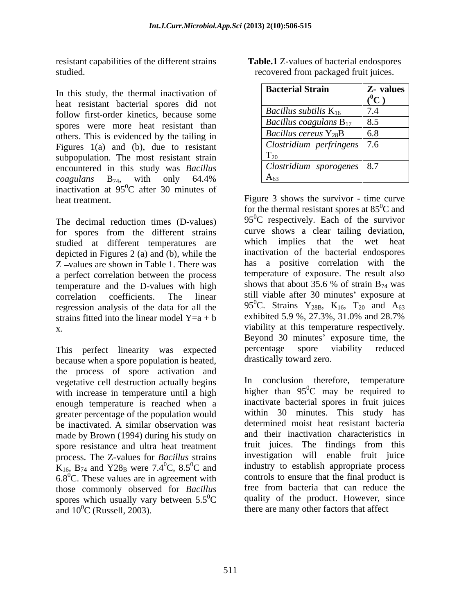resistant capabilities of the different strains studied. The state of the state of the state of the state of the state of the state of the state of the state o

In this study, the thermal inactivation of heat resistant bacterial spores did not follow first-order kinetics, because some spores were more heat resistant than others. This is evidenced by the tailing in Figures  $1(a)$  and (b), due to resistant subpopulation. The most resistant strain encountered in this study was *Bacillus coagulans* B74, with only 64.4% inactivation at  $95^{\circ}$ C after 30 minutes of  ${}^{0}C$  after 30 minutes of

The decimal reduction times (D-values) for spores from the different strains curve shows a clear tailing deviation,<br>studied at different temperatures are which implies that the wet heat studied at different temperatures are depicted in Figures 2 (a) and (b), while the Z -values are shown in Table 1. There was a perfect correlation between the process<br>temperature of exposure. The result also<br>temperature and the D-values with high shows that about 35.6 % of strain  $B_{74}$  was temperature and the D-values with high regression analysis of the data for all the  $95^{\circ}$ C. Strains Y<sub>28B</sub>, K<sub>16</sub>, T<sub>20</sub> and A<sub>63</sub> strains fitted into the linear model Y=a + b exhibited 5.9 %, 27.3%, 31.0% and 28.7% strains fitted into the linear model  $Y=a + b$ 

because when a spore population is heated, the process of spore activation and vegetative cell destruction actually begins with increase in temperature until a high enough temperature is reached when a greater percentage of the population would be inactivated. A similar observation was made by Brown (1994) during his study on spore resistance and ultra heat treatment process. The Z-values for *Bacillus* strains  $K_{16}$ , B<sub>74</sub> and Y28<sub>B</sub> were 7.4<sup>0</sup>C, 8.5<sup>0</sup>C and  $6.8^{\circ}$ C. These values are in agreement with those commonly observed for *Bacillus* spores which usually vary between  $5.5^0C$ and  $10^{0}$ C (Russell, 2003). there are many other factors that affect

| Table.1<br>endospores<br>n of bacterial e.<br>values<br>'S UI          |  |  |
|------------------------------------------------------------------------|--|--|
| i packaged fruit juices<br>re<br>0011<br>. from<br>$\alpha$<br>$\mu$ . |  |  |

| <b>Bacterial Strain</b>                     | <b>Z</b> - values        |
|---------------------------------------------|--------------------------|
|                                             |                          |
| $\vert$ Bacillus subtilis $K_{16}$          | $\overline{\phantom{a}}$ |
| Bacillus coagulans $B_{17}$                 | $Q \leq$<br>v.J          |
| $\vert$ Bacillus cereus Y <sub>28</sub> B   | 6.8                      |
| $\vert$ Clostridium perfringens $\vert$ 7.6 |                          |
| 120                                         |                          |
| $\vert$ Clostridium sporogenes $\vert$ 8.7  |                          |
| AA63                                        |                          |

heat treatment. Figure 3 shows the survivor - time curve  $\alpha$  coefficients. The linear still viable after 30 minutes' exposure at x. viability at this temperature respectively. This perfect linearity was expected percentage spore viability reduced for the thermal resistant spores at  $85^{\circ}$ C and  $95^{\circ}$ C respectively. Each of the survivor curve shows a clear tailing deviation, which implies that the wet inactivation of the bacterial endospores has a positive correlation with the temperature of exposure. The result also shows that about 35.6 % of strain  $B_{74}$  was 95<sup>0</sup>C. Strains Y<sub>28B</sub>, K<sub>16</sub>, T<sub>20</sub> and A<sub>63</sub> exhibited 5.9 %, 27.3%, 31.0% and 28.7% Beyond 30 minutes' exposure time, the percentage spore viability reduced drastically toward zero. **Bacterial Strain**  $\frac{1}{2}$  **Constrained Taxel (a decremination of the decremination of the constrained by the constrained by the constrained by the constrained by the constrained by the constrained by the constrained by t** 

 ${}^{0}C$ , 8.5 ${}^{0}C$  and industry to establish appropriate process  ${}^{0}C$  quality of the product. However, since In conclusion therefore, temperature higher than  $95^{\circ}$ C may be required to  ${}^{0}C$  may be required to inactivate bacterial spores in fruit juices within 30 minutes. This study has determined moist heat resistant bacteria and their inactivation characteristics in fruit juices. The findings from this investigation will enable fruit juice controls to ensure that the final product is free from bacteria that can reduce the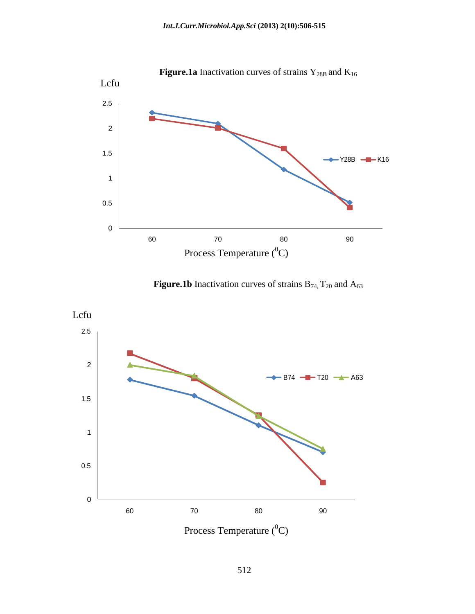

**Figure.1b** Inactivation curves of strains  $B_{74}$ ,  $T_{20}$  and  $A_{63}$ 



Process Temperature  $(^0C)$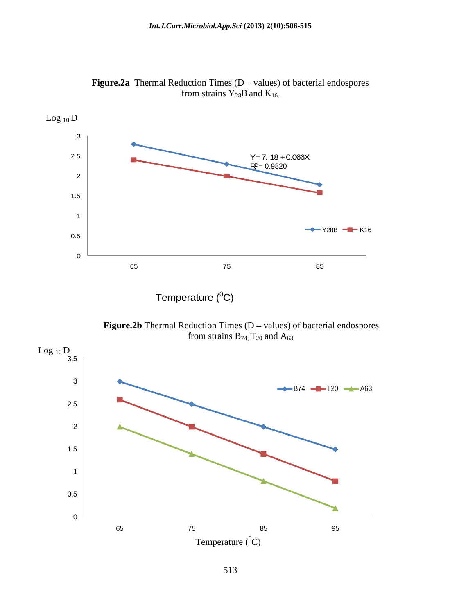

**Figure.2a** Thermal Reduction Times  $(D - values)$  of bacterial endospores from strains  $Y_{28}B$  and  $K_{16}$ .

Temperature  $(^0C)$ 

**Figure.2b** Thermal Reduction Times  $(D - values)$  of bacterial endospores from strains  $B_{74}$ ,  $T_{20}$  and  $A_{63}$ .

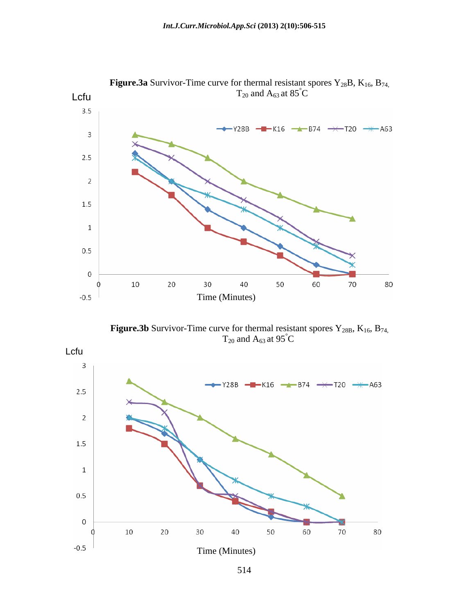

**Figure.3a** Survivor-Time curve for thermal resistant spores Y<sub>28</sub>B, K<sub>16</sub>, B<sub>74,</sub><br>T<sub>20</sub> and A<sub>63</sub> at 85<sup>°</sup>C

**Figure.3b** Survivor-Time curve for thermal resistant spores  $Y_{28B}$ ,  $K_{16}$ ,  $B_{74}$ ,  $T_{20}$  and  $A_{63}$  at  $95^{\circ}$ C  $T_{20}$  and  $A_{63}$  at 95<sup>°</sup>C



514